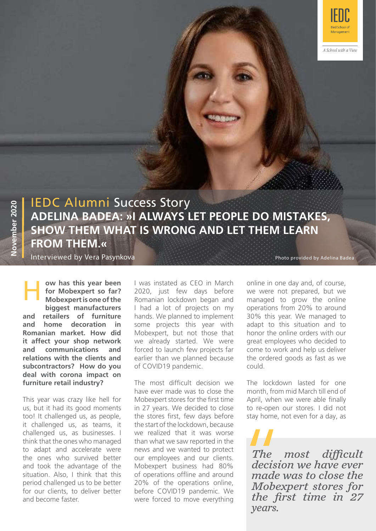

# IEDC Alumni Success Story **ADELINA BADEA: »I ALWAYS LET PEOPLE DO MISTAKES, SHOW THEM WHAT IS WRONG AND LET THEM LEARN FROM THEM.«**

Interviewed by Vera Pasynkova

**Exercise 1 was instated as CEO in March for Mobexpert so far?** 2020, just few days before **Mobexpert is one of the** Romanian lockdown began and **ow has this year been for Mobexpert so far? Mobexpert is one of the biggest manufacturers and retailers of furniture and home decoration in Romanian market. How did it affect your shop network and communications and relations with the clients and subcontractors? How do you deal with corona impact on furniture retail industry?**

This year was crazy like hell for us, but it had its good moments too! It challenged us, as people, it challenged us, as teams, it challenged us, as businesses. I think that the ones who managed to adapt and accelerate were the ones who survived better and took the advantage of the situation. Also, I think that this period challenged us to be better for our clients, to deliver better and become faster.

2020, just few days before I had a lot of projects on my hands. We planned to implement some projects this year with Mobexpert, but not those that we already started. We were forced to launch few projects far earlier than we planned because of COVID19 pandemic.

The most difficult decision we have ever made was to close the Mobexpert stores for the first time in 27 years. We decided to close the stores first, few days before the start of the lockdown, because we realized that it was worse than what we saw reported in the news and we wanted to protect our employees and our clients. Mobexpert business had 80% of operations offline and around 20% of the operations online, before COVID19 pandemic. We were forced to move everything

Photo provided by Adelina Badea

online in one day and, of course, we were not prepared, but we managed to grow the online operations from 20% to around 30% this year. We managed to adapt to this situation and to honor the online orders with our great employees who decided to come to work and help us deliver the ordered goods as fast as we could.

The lockdown lasted for one month, from mid March till end of April, when we were able finally to re-open our stores. I did not stay home, not even for a day, as

*The most difficult decision we have ever made was to close the Mobexpert stores for the first time in 27 years.*  The<br>The<br>decision<br>made<br>Mobe:<br>the fi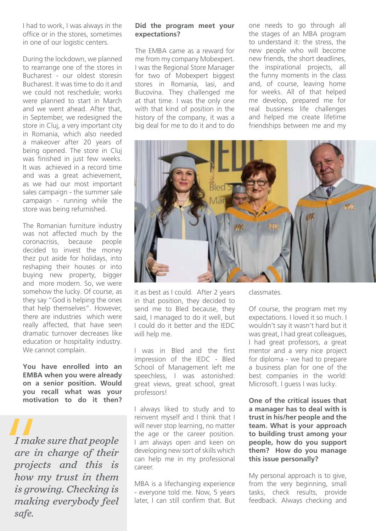I had to work, I was always in the office or in the stores, sometimes in one of our logistic centers.

During the lockdown, we planned to rearrange one of the stores in Bucharest - our oldest storesin Bucharest. It was time to do it and we could not reschedule; works were planned to start in March and we went ahead. After that, in September, we redesigned the store in Cluj, a very important city in Romania, which also needed a makeover after 20 years of being opened. The store in Cluj was finished in just few weeks. It was achieved in a record time and was a great achievement, as we had our most important sales campaign - the summer sale campaign - running while the store was being refurnished.

The Romanian furniture industry was not affected much by the coronacrisis, because people decided to invest the money thez put aside for holidays, into reshaping their houses or into buying new property, bigger and more modern. So, we were somehow the lucky. Of course, as they say "God is helping the ones that help themselves". However, there are industries which were really affected, that have seen dramatic turnover decreases like education or hospitality industry. We cannot complain.

**You have enrolled into an EMBA when you were already on a senior position. Would you recall what was your motivation to do it then?** 

*I make sure that people are in charge of their projects and this is how my trust in them is growing. Checking is making everybody feel safe.* I make<br>
are in<br>
projec<br>
how n

#### **Did the program meet your expectations?**

The EMBA came as a reward for me from my company Mobexpert. I was the Regional Store Manager for two of Mobexpert biggest stores in Romania, Iasi, and Bucovina. They challenged me at that time. I was the only one with that kind of position in the history of the company, it was a big deal for me to do it and to do one needs to go through all the stages of an MBA program to understand it: the stress, the new people who will become new friends, the short deadlines, the inspirational projects, all the funny moments in the class and, of course, leaving home for weeks. All of that helped me develop, prepared me for real bussiness life challenges and helped me create lifetime friendships between me and my



it as best as I could. After 2 years in that position, they decided to send me to Bled because, they said, I managed to do it well, but I could do it better and the IEDC will help me.

I was in Bled and the first impression of the IEDC - Bled School of Management left me speechless, I was astonished: great views, great school, great professors!

I always liked to study and to reinvent myself and I think that I will never stop learning, no matter the age or the career position. I am always open and keen on developing new sort of skills which can help me in my professional career.

MBA is a lifechanging experience - everyone told me. Now, 5 years later, I can still confirm that. But classmates.

Of course, the program met my expectations. I loved it so much. I wouldn't say it wasn't hard but it was great, I had great colleagues, I had great professors, a great mentor and a very nice project for diploma - we had to prepare a business plan for one of the best companies in the world: Microsoft. I guess I was lucky.

**One of the critical issues that a manager has to deal with is trust in his/her people and the team. What is your approach to building trust among your people, how do you support them? How do you manage this issue personally?**

My personal approach is to give, from the very beginning, small tasks, check results, provide feedback. Always checking and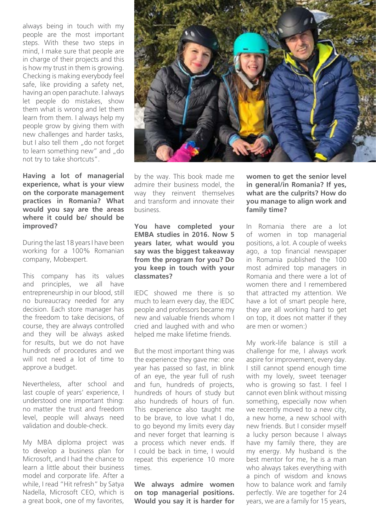always being in touch with my people are the most important steps. With these two steps in mind, I make sure that people are in charge of their projects and this is how my trust in them is growing. Checking is making everybody feel safe, like providing a safety net, having an open parachute. I always let people do mistakes, show them what is wrong and let them learn from them. I always help my people grow by giving them with new challenges and harder tasks, but I also tell them ...do not forget to learn something new" and "do not try to take shortcuts".

**Having a lot of managerial experience, what is your view on the corporate management practices in Romania? What would you say are the areas where it could be/ should be improved?**

During the last 18 years I have been working for a 100% Romanian company, Mobexpert.

This company has its values and principles, we all have entrepreneurship in our blood, still no bureaucracy needed for any decision. Each store manager has the freedom to take decisions, of course, they are always controlled and they will be always asked for results, but we do not have hundreds of procedures and we will not need a lot of time to approve a budget.

Nevertheless, after school and last couple of years' experience, I understood one important thing: no matter the trust and freedom level, people will always need validation and double-check.

My MBA diploma project was to develop a business plan for Microsoft, and I had the chance to learn a little about their business model and corporate life. After a while, I read "Hit refresh" by Satya Nadella, Microsoft CEO, which is a great book, one of my favorites,



by the way. This book made me admire their business model, the way they reinvent themselves and transform and innovate their business.

### **You have completed your EMBA studies in 2016. Now 5 years later, what would you say was the biggest takeaway from the program for you? Do you keep in touch with your classmates?**

IEDC showed me there is so much to learn every day, the IEDC people and professors became my new and valuable friends whom I cried and laughed with and who helped me make lifetime friends.

But the most important thing was the experience they gave me: one year has passed so fast, in blink of an eye, the year full of rush and fun, hundreds of projects, hundreds of hours of study but also hundreds of hours of fun. This experience also taught me to be brave, to love what I do, to go beyond my limits every day and never forget that learning is a process which never ends. If I could be back in time, I would repeat this experience 10 more times.

**We always admire women on top managerial positions. Would you say it is harder for** 

**women to get the senior level in general/in Romania? If yes, what are the culprits? How do you manage to align work and family time?**

In Romania there are a lot of women in top managerial positions, a lot. A couple of weeks ago, a top financial newspaper in Romania published the 100 most admired top managers in Romania and there were a lot of women there and I remembered that attracted my attention. We have a lot of smart people here, they are all working hard to get on top, it does not matter if they are men or women:)

My work-life balance is still a challenge for me, I always work aspire for improvement, every day. I still cannot spend enough time with my lovely, sweet teenager who is growing so fast. I feel I cannot even blink without missing something, especially now when we recently moved to a new city, a new home, a new school with new friends. But I consider myself a lucky person because I always have my family there, they are my energy. My husband is the best mentor for me, he is a man who always takes everything with a pinch of wisdom and knows how to balance work and family perfectly. We are together for 24 years, we are a family for 15 years,